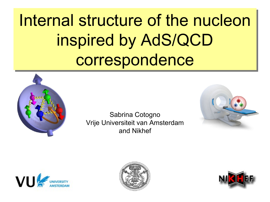Internal structure of the nucleon Internal structure of the nucleon inspired by AdS/QCD inspired by AdS/QCD correspondence correspondence



Sabrina Cotogno Vrije Universiteit van Amsterdam and Nikhef







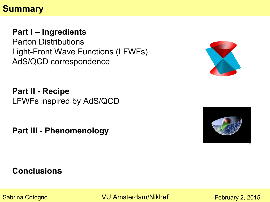### **Summary**

#### **Part I – Ingredients**

Parton Distributions Light-Front Wave Functions (LFWFs) AdS/QCD correspondence



**Part II - Recipe** LFWFs inspired by AdS/QCD

**Part III - Phenomenology**



#### **Conclusions**

Sabrina Cotogno **November 2, 2014** VU Amsterdam/Nikhef

 $\overline{a}$ February 2, 2015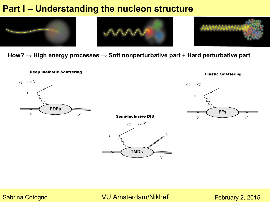# **Part I – Understanding the nucleon structure Theorem 2013**



**How? → High energy processes → Soft nonperturbative part + Hard perturbative part**





#### Sabrina Cotogno **VU Amsterdam/Nikhef**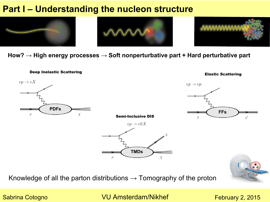# **Part I – Understanding the nucleon structure 7/3333**



**How? → High energy processes → Soft nonperturbative part + Hard perturbative part**



Knowledge of all the parton distributions  $\rightarrow$  Tomography of the proton

Sabrina Cotogno **November 2, 2014** VU Amsterdam/Nikhef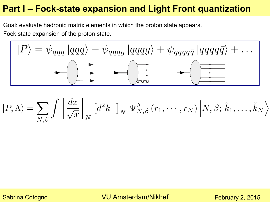### **Part I – Fock-state expansion and Light Front quantization**

Goal: evaluate hadronic matrix elements in which the proton state appears. Fock state expansion of the proton state.



$$
|P,\Lambda\rangle = \sum_{N,\beta} \int \left[\frac{dx}{\sqrt{x}}\right]_N \left[d^2k_{\perp}\right]_N \Psi_{N,\beta}^{\Lambda}(r_1,\cdots,r_N) \left|N,\beta;\tilde{k}_1,\ldots,\tilde{k}_N\right\rangle
$$

Sabrina Cotogno **VU Amsterdam/Nikhef**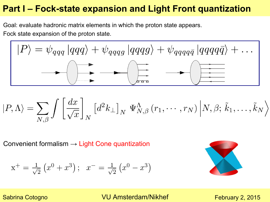### **Part I – Fock-state expansion and Light Front quantization**

Goal: evaluate hadronic matrix elements in which the proton state appears. Fock state expansion of the proton state.

$$
|P\rangle = \psi_{qqq} |qqq\rangle + \psi_{qqqg} |qqqg\rangle + \psi_{qqqq\overline{q}} |qqqq\overline{q}\rangle + \dots
$$

$$
\left|P,\Lambda\right\rangle=\sum_{N,\beta}\int\left[\frac{dx}{\sqrt{x}}\right]_{N}\left[d^{2}k_{\perp}\right]_{N}\Psi_{N,\beta}^{\Lambda}\left(r_{1},\cdots,r_{N}\right)\left|N,\beta;\,\tilde{k}_{1},\ldots,\tilde{k}_{N}\right\rangle
$$

Convenient formalism  $\rightarrow$  Light Cone quantization

$$
x^{+} = \frac{1}{\sqrt{2}} (x^{0} + x^{3}); \ x^{-} = \frac{1}{\sqrt{2}} (x^{0} - x^{3})
$$



Sabrina Cotogno **VU Amsterdam/Nikhef** 

 $\overline{a}$ February 2, 2015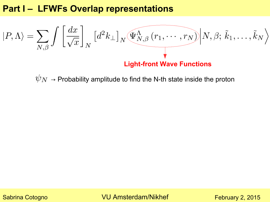### **Part I – LFWFs Overlap representations**

$$
|P,\Lambda\rangle = \sum_{N,\beta} \int \left[\frac{dx}{\sqrt{x}}\right]_N \left[d^2k_{\perp}\right]_N \underbrace{\Psi^{\Lambda}_{N,\beta}(r_1,\cdots,r_N)}_{} \Big| N,\beta;\,\tilde{k}_1,\ldots,\tilde{k}_N \Big\rangle
$$
  
Light-front Wave Functions

 $\psi_N \rightarrow$  Probability amplitude to find the N-th state inside the proton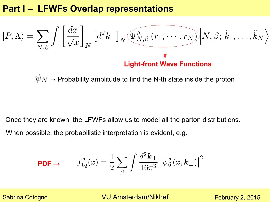#### **Part I – LFWFs Overlap representations**

$$
|P,\Lambda\rangle = \sum_{N,\beta} \int \left[\frac{dx}{\sqrt{x}}\right]_N \left[d^2k_{\perp}\right]_N \underbrace{\Psi^{\Lambda}_{N,\beta}(r_1,\cdots,r_N)}_{} \Big| N,\beta;\,\tilde{k}_1,\ldots,\tilde{k}_N\Big\rangle
$$
  
Light-front Wave Functions

 $\psi_N \rightarrow$  Probability amplitude to find the N-th state inside the proton

Once they are known, the LFWFs allow us to model all the parton distributions. When possible, the probabilistic interpretation is evident, e.g.

$$
\text{PDF} \rightarrow \qquad f_{1q}^{\Lambda}(x) = \frac{1}{2} \sum_{\beta} \int \frac{d^2 \mathbf{k}_{\perp}}{16\pi^3} \left| \psi_{\beta}^{\Lambda}(x, \mathbf{k}_{\perp}) \right|^2
$$

Sabrina Cotogno **VU Amsterdam/Nikhef** 

 $\overline{a}$ February 2, 2015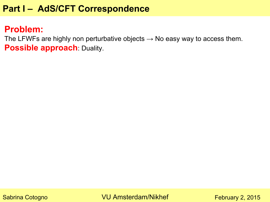## **Part I – AdS/CFT Correspondence**

#### **Problem:**

The LFWFs are highly non perturbative objects  $\rightarrow$  No easy way to access them. **Possible approach**: Duality.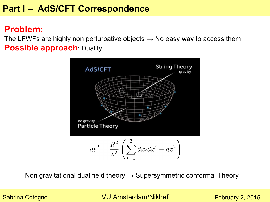### **Part I – AdS/CFT Correspondence**

#### **Problem:**

The LFWFs are highly non perturbative objects  $\rightarrow$  No easy way to access them. **Possible approach**: Duality.



Non gravitational dual field theory  $\rightarrow$  Supersymmetric conformal Theory

Sabrina Cotogno **VU Amsterdam/Nikhef** 

 $\overline{10}$ February 2, 2015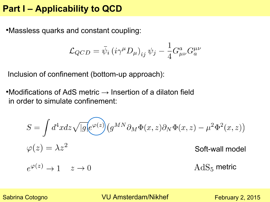#### **Part I – Applicability to QCD**

•Massless quarks and constant coupling:

$$
\mathcal{L}_{QCD} = \bar{\psi}_i \left( i \gamma^\mu D_\mu \right)_{ij} \psi_j - \frac{1}{4} G^a_{\mu\nu} G^{\mu\nu}_a
$$

Inclusion of confinement (bottom-up approach):

•Modifications of AdS metric  $\rightarrow$  Insertion of a dilaton field in order to simulate confinement:

$$
S = \int d^4x dz \sqrt{|g|} e^{\varphi(z)} (g^{MN} \partial_M \Phi(x, z) \partial_N \Phi(x, z) - \mu^2 \Phi^2(x, z))
$$
  

$$
\varphi(z) = \lambda z^2
$$
Soft-wall model  

$$
e^{\varphi(z)} \to 1 \quad z \to 0
$$
AdS<sub>5</sub> metric

Sabrina Cotogno **VU Amsterdam/Nikhef**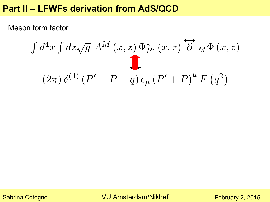#### **Part II – LFWFs derivation from AdS/QCD**

Meson form factor

$$
\int d^4x \int dz \sqrt{g} \, A^M(x, z) \, \Phi_{P'}^*(x, z) \stackrel{\longleftrightarrow}{\partial} M \Phi(x, z)
$$
\n
$$
(2\pi) \, \delta^{(4)} \left( P' - P - q \right) \epsilon_\mu \left( P' + P \right)^\mu F \left( q^2 \right)
$$

Sabrina Cotogno **VU Amsterdam/Nikhef**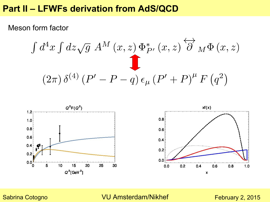#### **Part II – LFWFs derivation from AdS/QCD**

Meson form factor

$$
\int d^4x \int dz \sqrt{g} \, A^M(x, z) \, \Phi_{P'}^*(x, z) \stackrel{\longleftrightarrow}{\partial} M \Phi(x, z)
$$
\n
$$
(2\pi) \, \delta^{(4)} \left( P' - P - q \right) \epsilon_\mu \left( P' + P \right)^\mu F \left( q^2 \right)
$$



Sabrina Cotogno **VU Amsterdam/Nikhef**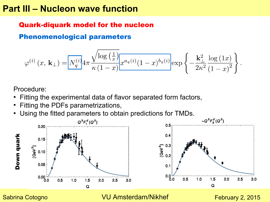#### **Part III – Nucleon wave function**

#### Quark-diquark model for the nucleon

Phenomenological parameters

$$
\varphi^{(i)}(x,\, \mathbf{k}_{\perp}) = \boxed{N_q^{(i)}} 4\pi \frac{\sqrt{\log\left(\frac{1}{x}\right)}}{\kappa \left(1-x\right)} x^{a_q(i)} (1-x)^{b_q(i)} \exp\left\{-\frac{\mathbf{k}_{\perp}^2}{2\kappa^2} \frac{\log\left(1x\right)}{\left(1-x\right)^2}\right\}.
$$

Procedure:

- Fitting the experimental data of flavor separated form factors,
- Fitting the PDFs parametrizations,
- Using the fitted parameters to obtain predictions for TMDs.



Sabrina Cotogno **VU Amsterdam/Nikhef**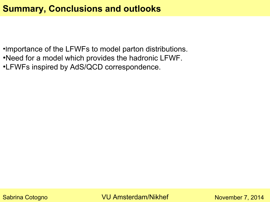### **Summary, Conclusions and outlooks**

● Importance of the LFWFs to model parton distributions.

- •Need for a model which provides the hadronic LFWF.
- •LFWFs inspired by AdS/QCD correspondence.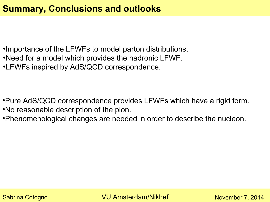### **Summary, Conclusions and outlooks**

- •Importance of the LFWFs to model parton distributions.
- •Need for a model which provides the hadronic LFWF.
- •LFWFs inspired by AdS/QCD correspondence.

- Pure AdS/QCD correspondence provides LFWFs which have a rigid form. •No reasonable description of the pion.
- •Phenomenological changes are needed in order to describe the nucleon.